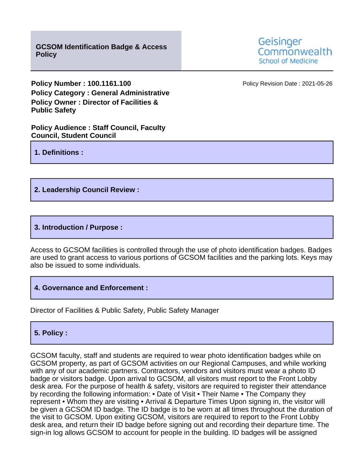**Policy Number : 100.1161.100 Policy Revision Date : 2021-05-26 Policy Category : General Administrative Policy Owner : Director of Facilities & Public Safety**

**Policy Audience : Staff Council, Faculty Council, Student Council**

**1. Definitions :**

## **2. Leadership Council Review :**

## **3. Introduction / Purpose :**

Access to GCSOM facilities is controlled through the use of photo identification badges. Badges are used to grant access to various portions of GCSOM facilities and the parking lots. Keys may also be issued to some individuals.

**4. Governance and Enforcement :**

Director of Facilities & Public Safety, Public Safety Manager

## **5. Policy :**

GCSOM faculty, staff and students are required to wear photo identification badges while on GCSOM property, as part of GCSOM activities on our Regional Campuses, and while working with any of our academic partners. Contractors, vendors and visitors must wear a photo ID badge or visitors badge. Upon arrival to GCSOM, all visitors must report to the Front Lobby desk area. For the purpose of health & safety, visitors are required to register their attendance by recording the following information: • Date of Visit • Their Name • The Company they represent • Whom they are visiting • Arrival & Departure Times Upon signing in, the visitor will be given a GCSOM ID badge. The ID badge is to be worn at all times throughout the duration of the visit to GCSOM. Upon exiting GCSOM, visitors are required to report to the Front Lobby desk area, and return their ID badge before signing out and recording their departure time. The sign-in log allows GCSOM to account for people in the building. ID badges will be assigned